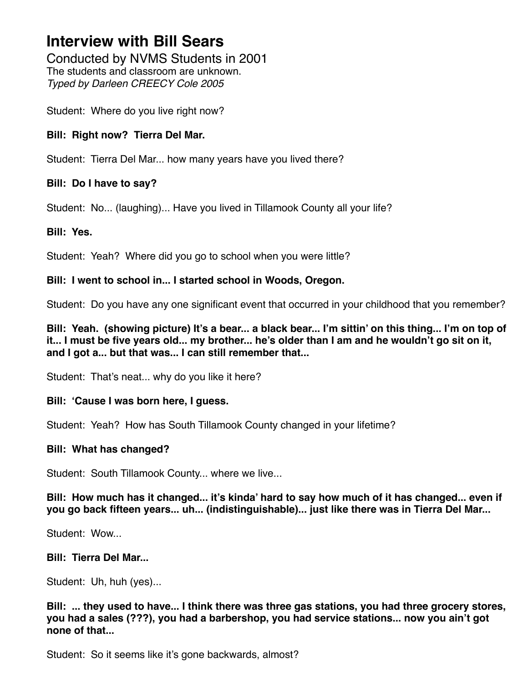Conducted by NVMS Students in 2001 The students and classroom are unknown. *Typed by Darleen CREECY Cole 2005*

Student: Where do you live right now?

## **Bill: Right now? Tierra Del Mar.**

Student: Tierra Del Mar... how many years have you lived there?

## **Bill: Do I have to say?**

Student: No... (laughing)... Have you lived in Tillamook County all your life?

## **Bill: Yes.**

Student: Yeah? Where did you go to school when you were little?

## **Bill: I went to school in... I started school in Woods, Oregon.**

Student: Do you have any one significant event that occurred in your childhood that you remember?

**Bill: Yeah. (showing picture) It's a bear... a black bear... I'm sittin' on this thing... I'm on top of it... I must be five years old... my brother... he's older than I am and he wouldn't go sit on it, and I got a... but that was... I can still remember that...**

Student: That's neat... why do you like it here?

# **Bill: 'Cause I was born here, I guess.**

Student: Yeah? How has South Tillamook County changed in your lifetime?

### **Bill: What has changed?**

Student: South Tillamook County... where we live...

## **Bill: How much has it changed... it's kinda' hard to say how much of it has changed... even if you go back fifteen years... uh... (indistinguishable)... just like there was in Tierra Del Mar...**

Student: Wow...

# **Bill: Tierra Del Mar...**

Student: Uh, huh (yes)...

**Bill: ... they used to have... I think there was three gas stations, you had three grocery stores, you had a sales (???), you had a barbershop, you had service stations... now you ain't got none of that...**

Student: So it seems like it's gone backwards, almost?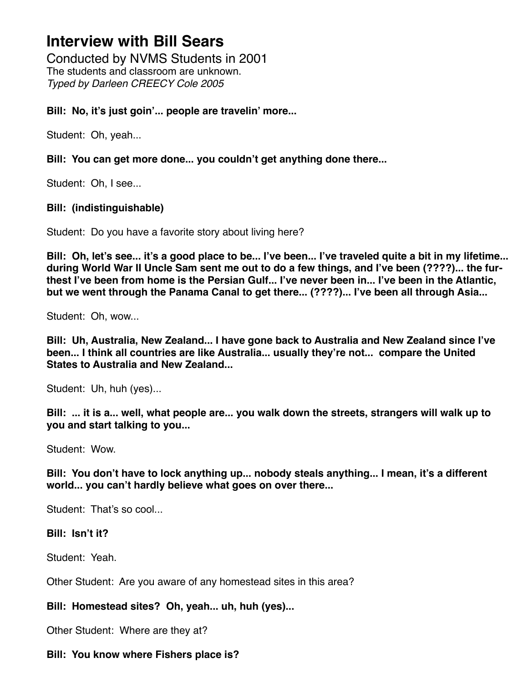Conducted by NVMS Students in 2001 The students and classroom are unknown. *Typed by Darleen CREECY Cole 2005*

## **Bill: No, it's just goin'... people are travelin' more...**

Student: Oh, yeah...

## **Bill: You can get more done... you couldn't get anything done there...**

Student: Oh, I see...

## **Bill: (indistinguishable)**

Student: Do you have a favorite story about living here?

**Bill: Oh, let's see... it's a good place to be... I've been... I've traveled quite a bit in my lifetime... during World War II Uncle Sam sent me out to do a few things, and I've been (????)... the furthest I've been from home is the Persian Gulf... I've never been in... I've been in the Atlantic, but we went through the Panama Canal to get there... (????)... I've been all through Asia...**

Student: Oh, wow...

**Bill: Uh, Australia, New Zealand... I have gone back to Australia and New Zealand since I've been... I think all countries are like Australia... usually they're not... compare the United States to Australia and New Zealand...**

Student: Uh, huh (yes)...

**Bill: ... it is a... well, what people are... you walk down the streets, strangers will walk up to you and start talking to you...**

Student: Wow.

**Bill: You don't have to lock anything up... nobody steals anything... I mean, it's a different world... you can't hardly believe what goes on over there...**

Student: That's so cool

### **Bill: Isn't it?**

Student: Yeah.

Other Student: Are you aware of any homestead sites in this area?

# **Bill: Homestead sites? Oh, yeah... uh, huh (yes)...**

Other Student: Where are they at?

### **Bill: You know where Fishers place is?**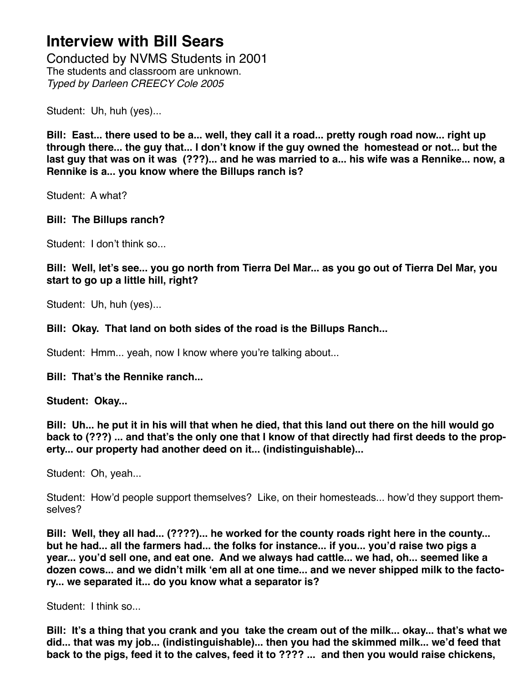Conducted by NVMS Students in 2001 The students and classroom are unknown. *Typed by Darleen CREECY Cole 2005*

Student: Uh, huh (yes)...

**Bill: East... there used to be a... well, they call it a road... pretty rough road now... right up through there... the guy that... I don't know if the guy owned the homestead or not... but the last guy that was on it was (???)... and he was married to a... his wife was a Rennike... now, a Rennike is a... you know where the Billups ranch is?**

Student: A what?

# **Bill: The Billups ranch?**

Student: I don't think so...

**Bill: Well, let's see... you go north from Tierra Del Mar... as you go out of Tierra Del Mar, you start to go up a little hill, right?**

Student: Uh, huh (yes)...

## **Bill: Okay. That land on both sides of the road is the Billups Ranch...**

Student: Hmm... yeah, now I know where you're talking about...

### **Bill: That's the Rennike ranch...**

**Student: Okay...**

**Bill: Uh... he put it in his will that when he died, that this land out there on the hill would go back to (???) ... and that's the only one that I know of that directly had first deeds to the property... our property had another deed on it... (indistinguishable)...**

Student: Oh, yeah...

Student: How'd people support themselves? Like, on their homesteads... how'd they support themselves?

**Bill: Well, they all had... (????)... he worked for the county roads right here in the county... but he had... all the farmers had... the folks for instance... if you... you'd raise two pigs a year... you'd sell one, and eat one. And we always had cattle... we had, oh... seemed like a dozen cows... and we didn't milk 'em all at one time... and we never shipped milk to the factory... we separated it... do you know what a separator is?** 

Student: I think so...

**Bill: It's a thing that you crank and you take the cream out of the milk... okay... that's what we did... that was my job... (indistinguishable)... then you had the skimmed milk... we'd feed that back to the pigs, feed it to the calves, feed it to ???? ... and then you would raise chickens,**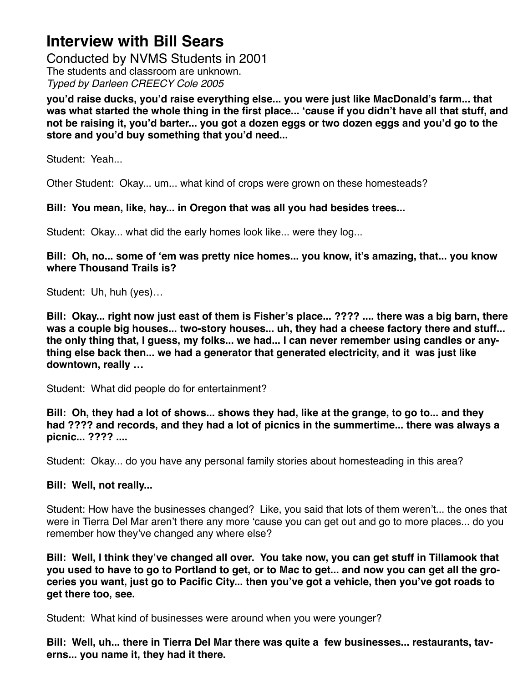Conducted by NVMS Students in 2001 The students and classroom are unknown. *Typed by Darleen CREECY Cole 2005*

**you'd raise ducks, you'd raise everything else... you were just like MacDonald's farm... that was what started the whole thing in the first place... 'cause if you didn't have all that stuff, and not be raising it, you'd barter... you got a dozen eggs or two dozen eggs and you'd go to the store and you'd buy something that you'd need...**

Student: Yeah...

Other Student: Okay... um... what kind of crops were grown on these homesteads?

## **Bill: You mean, like, hay... in Oregon that was all you had besides trees...**

Student: Okay... what did the early homes look like... were they log...

**Bill: Oh, no... some of 'em was pretty nice homes... you know, it's amazing, that... you know where Thousand Trails is?**

Student: Uh, huh (yes)…

**Bill: Okay... right now just east of them is Fisher's place... ???? .... there was a big barn, there was a couple big houses... two-story houses... uh, they had a cheese factory there and stuff... the only thing that, I guess, my folks... we had... I can never remember using candles or anything else back then... we had a generator that generated electricity, and it was just like downtown, really …**

Student: What did people do for entertainment?

**Bill: Oh, they had a lot of shows... shows they had, like at the grange, to go to... and they had ???? and records, and they had a lot of picnics in the summertime... there was always a picnic... ???? ....**

Student: Okay... do you have any personal family stories about homesteading in this area?

# **Bill: Well, not really...**

Student: How have the businesses changed? Like, you said that lots of them weren't... the ones that were in Tierra Del Mar aren't there any more 'cause you can get out and go to more places... do you remember how they've changed any where else?

**Bill: Well, I think they've changed all over. You take now, you can get stuff in Tillamook that you used to have to go to Portland to get, or to Mac to get... and now you can get all the groceries you want, just go to Pacific City... then you've got a vehicle, then you've got roads to get there too, see.**

Student: What kind of businesses were around when you were younger?

**Bill: Well, uh... there in Tierra Del Mar there was quite a few businesses... restaurants, taverns... you name it, they had it there.**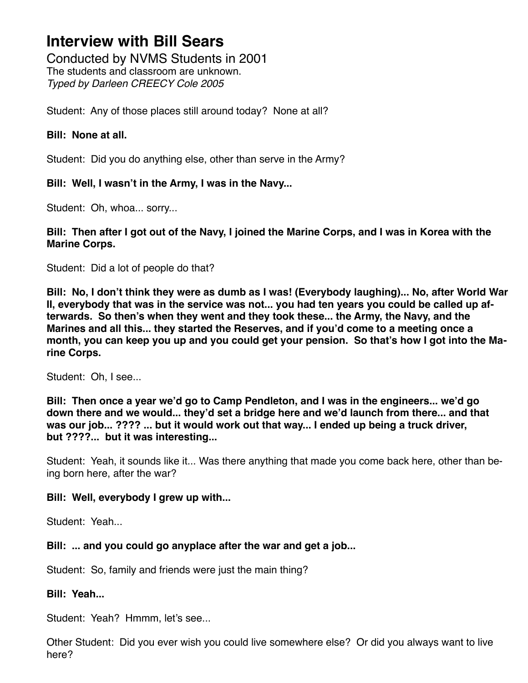Conducted by NVMS Students in 2001 The students and classroom are unknown. *Typed by Darleen CREECY Cole 2005*

Student: Any of those places still around today? None at all?

# **Bill: None at all.**

Student: Did you do anything else, other than serve in the Army?

# **Bill: Well, I wasn't in the Army, I was in the Navy...**

Student: Oh, whoa... sorry...

## **Bill: Then after I got out of the Navy, I joined the Marine Corps, and I was in Korea with the Marine Corps.**

Student: Did a lot of people do that?

**Bill: No, I don't think they were as dumb as I was! (Everybody laughing)... No, after World War II, everybody that was in the service was not... you had ten years you could be called up afterwards. So then's when they went and they took these... the Army, the Navy, and the Marines and all this... they started the Reserves, and if you'd come to a meeting once a month, you can keep you up and you could get your pension. So that's how I got into the Marine Corps.**

Student: Oh, I see...

**Bill: Then once a year we'd go to Camp Pendleton, and I was in the engineers... we'd go down there and we would... they'd set a bridge here and we'd launch from there... and that was our job... ???? ... but it would work out that way... I ended up being a truck driver, but ????... but it was interesting...**

Student: Yeah, it sounds like it... Was there anything that made you come back here, other than being born here, after the war?

# **Bill: Well, everybody I grew up with...**

Student: Yeah...

# **Bill: ... and you could go anyplace after the war and get a job...**

Student: So, family and friends were just the main thing?

# **Bill: Yeah...**

Student: Yeah? Hmmm, let's see...

Other Student: Did you ever wish you could live somewhere else? Or did you always want to live here?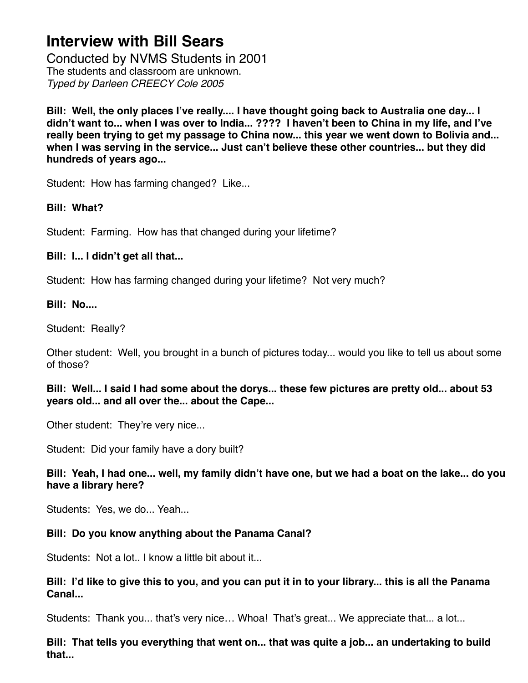Conducted by NVMS Students in 2001 The students and classroom are unknown. *Typed by Darleen CREECY Cole 2005*

**Bill: Well, the only places I've really.... I have thought going back to Australia one day... I didn't want to... when I was over to India... ???? I haven't been to China in my life, and I've really been trying to get my passage to China now... this year we went down to Bolivia and... when I was serving in the service... Just can't believe these other countries... but they did hundreds of years ago...** 

Student: How has farming changed? Like...

# **Bill: What?**

Student: Farming. How has that changed during your lifetime?

# **Bill: I... I didn't get all that...**

Student: How has farming changed during your lifetime? Not very much?

# **Bill: No....**

Student: Really?

Other student: Well, you brought in a bunch of pictures today... would you like to tell us about some of those?

**Bill: Well... I said I had some about the dorys... these few pictures are pretty old... about 53 years old... and all over the... about the Cape...**

Other student: They're very nice...

Student: Did your family have a dory built?

**Bill: Yeah, I had one... well, my family didn't have one, but we had a boat on the lake... do you have a library here?**

Students: Yes, we do... Yeah...

# **Bill: Do you know anything about the Panama Canal?**

Students: Not a lot.. I know a little bit about it...

## **Bill: I'd like to give this to you, and you can put it in to your library... this is all the Panama Canal...**

Students: Thank you... that's very nice… Whoa! That's great... We appreciate that... a lot...

**Bill: That tells you everything that went on... that was quite a job... an undertaking to build that...**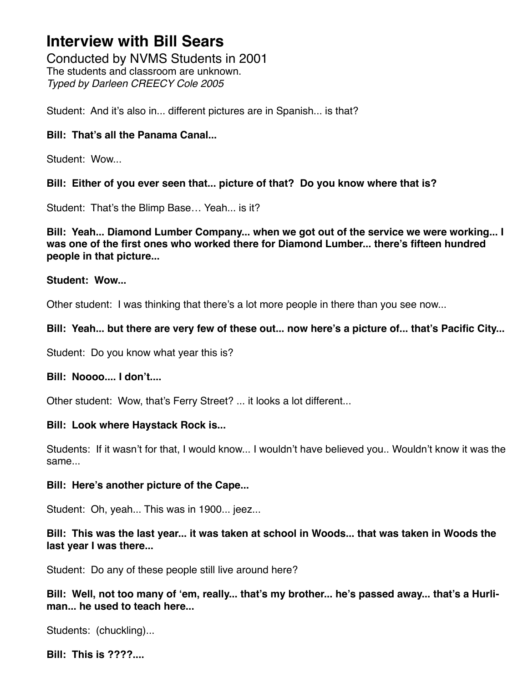Conducted by NVMS Students in 2001 The students and classroom are unknown. *Typed by Darleen CREECY Cole 2005*

Student: And it's also in... different pictures are in Spanish... is that?

## **Bill: That's all the Panama Canal...**

Student: Wow...

## **Bill: Either of you ever seen that... picture of that? Do you know where that is?**

Student: That's the Blimp Base… Yeah... is it?

**Bill: Yeah... Diamond Lumber Company... when we got out of the service we were working... I was one of the first ones who worked there for Diamond Lumber... there's fifteen hundred people in that picture...**

### **Student: Wow...**

Other student: I was thinking that there's a lot more people in there than you see now...

## **Bill: Yeah... but there are very few of these out... now here's a picture of... that's Pacific City...**

Student: Do you know what year this is?

### **Bill: Noooo.... I don't....**

Other student: Wow, that's Ferry Street? ... it looks a lot different...

### **Bill: Look where Haystack Rock is...**

Students: If it wasn't for that, I would know... I wouldn't have believed you.. Wouldn't know it was the same...

### **Bill: Here's another picture of the Cape...**

Student: Oh, yeah... This was in 1900... jeez...

## **Bill: This was the last year... it was taken at school in Woods... that was taken in Woods the last year I was there...**

Student: Do any of these people still live around here?

**Bill: Well, not too many of 'em, really... that's my brother... he's passed away... that's a Hurliman... he used to teach here...**

Students: (chuckling)...

**Bill: This is ????....**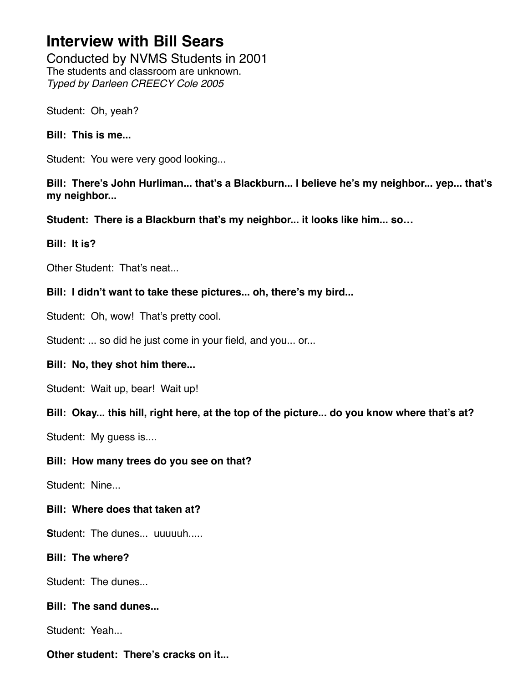Conducted by NVMS Students in 2001 The students and classroom are unknown. *Typed by Darleen CREECY Cole 2005*

Student: Oh, yeah?

**Bill: This is me...**

Student: You were very good looking...

**Bill: There's John Hurliman... that's a Blackburn... I believe he's my neighbor... yep... that's my neighbor...**

**Student: There is a Blackburn that's my neighbor... it looks like him... so…**

**Bill: It is?**

Other Student: That's neat...

**Bill: I didn't want to take these pictures... oh, there's my bird...**

Student: Oh, wow! That's pretty cool.

Student: ... so did he just come in your field, and you... or...

# **Bill: No, they shot him there...**

Student: Wait up, bear! Wait up!

**Bill: Okay... this hill, right here, at the top of the picture... do you know where that's at?**

Student: My guess is....

### **Bill: How many trees do you see on that?**

Student: Nine...

# **Bill: Where does that taken at?**

**S**tudent: The dunes... uuuuuh.....

**Bill: The where?**

Student: The dunes...

# **Bill: The sand dunes...**

Student: Yeah...

**Other student: There's cracks on it...**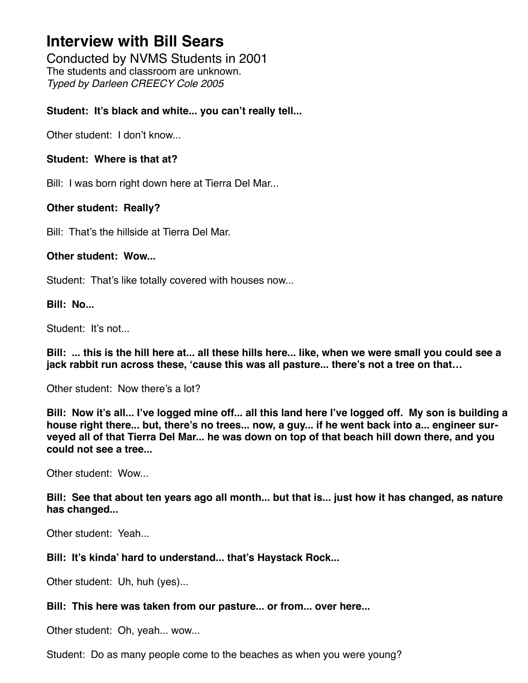Conducted by NVMS Students in 2001 The students and classroom are unknown. *Typed by Darleen CREECY Cole 2005*

## **Student: It's black and white... you can't really tell...**

Other student: I don't know...

### **Student: Where is that at?**

Bill: I was born right down here at Tierra Del Mar...

## **Other student: Really?**

Bill: That's the hillside at Tierra Del Mar.

### **Other student: Wow...**

Student: That's like totally covered with houses now...

### **Bill: No...**

Student: It's not...

**Bill: ... this is the hill here at... all these hills here... like, when we were small you could see a jack rabbit run across these, 'cause this was all pasture... there's not a tree on that…**

Other student: Now there's a lot?

**Bill: Now it's all... I've logged mine off... all this land here I've logged off. My son is building a house right there... but, there's no trees... now, a guy... if he went back into a... engineer surveyed all of that Tierra Del Mar... he was down on top of that beach hill down there, and you could not see a tree...**

Other student: Wow...

**Bill: See that about ten years ago all month... but that is... just how it has changed, as nature has changed...**

Other student: Yeah...

### **Bill: It's kinda' hard to understand... that's Haystack Rock...**

Other student: Uh, huh (yes)...

### **Bill: This here was taken from our pasture... or from... over here...**

Other student: Oh, yeah... wow...

Student: Do as many people come to the beaches as when you were young?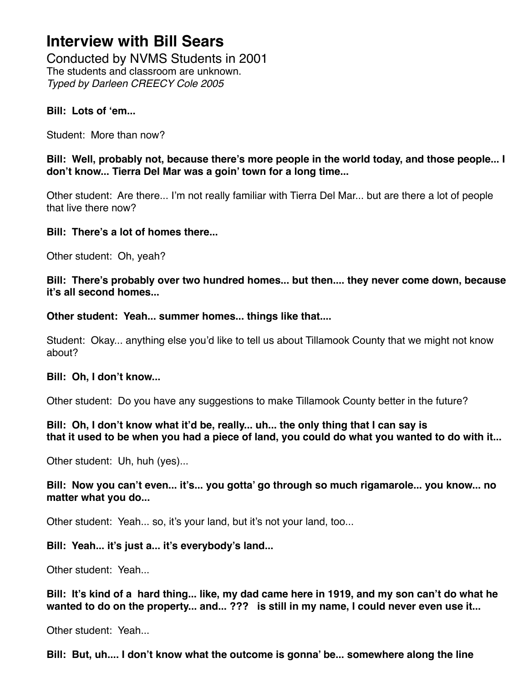Conducted by NVMS Students in 2001 The students and classroom are unknown. *Typed by Darleen CREECY Cole 2005*

### **Bill: Lots of 'em...**

Student: More than now?

**Bill: Well, probably not, because there's more people in the world today, and those people... I don't know... Tierra Del Mar was a goin' town for a long time...** 

Other student: Are there... I'm not really familiar with Tierra Del Mar... but are there a lot of people that live there now?

## **Bill: There's a lot of homes there...**

Other student: Oh, yeah?

**Bill: There's probably over two hundred homes... but then.... they never come down, because it's all second homes...**

**Other student: Yeah... summer homes... things like that....**

Student: Okay... anything else you'd like to tell us about Tillamook County that we might not know about?

# **Bill: Oh, I don't know...**

Other student: Do you have any suggestions to make Tillamook County better in the future?

## **Bill: Oh, I don't know what it'd be, really... uh... the only thing that I can say is that it used to be when you had a piece of land, you could do what you wanted to do with it...**

Other student: Uh, huh (yes)...

## **Bill: Now you can't even... it's... you gotta' go through so much rigamarole... you know... no matter what you do...**

Other student: Yeah... so, it's your land, but it's not your land, too...

# **Bill: Yeah... it's just a... it's everybody's land...**

Other student: Yeah...

**Bill: It's kind of a hard thing... like, my dad came here in 1919, and my son can't do what he wanted to do on the property... and... ??? is still in my name, I could never even use it...**

Other student: Yeah...

**Bill: But, uh.... I don't know what the outcome is gonna' be... somewhere along the line**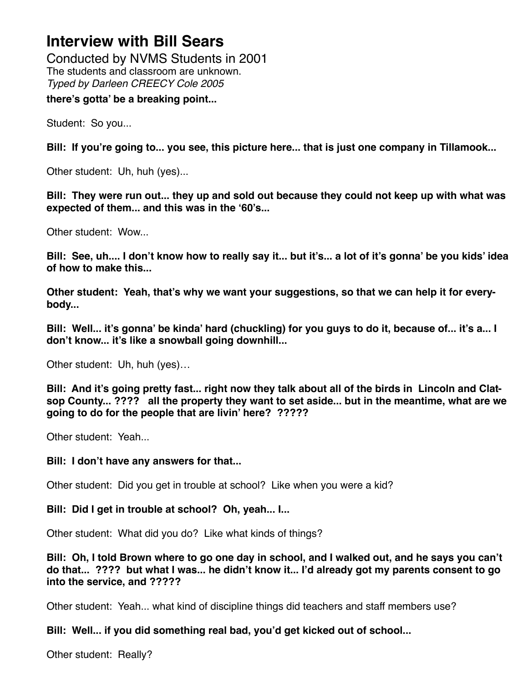Conducted by NVMS Students in 2001 The students and classroom are unknown. *Typed by Darleen CREECY Cole 2005*

### **there's gotta' be a breaking point...**

Student: So you...

**Bill: If you're going to... you see, this picture here... that is just one company in Tillamook...**

Other student: Uh, huh (yes)...

**Bill: They were run out... they up and sold out because they could not keep up with what was expected of them... and this was in the '60's...**

Other student: Wow...

**Bill: See, uh.... I don't know how to really say it... but it's... a lot of it's gonna' be you kids' idea of how to make this...**

**Other student: Yeah, that's why we want your suggestions, so that we can help it for everybody...**

**Bill: Well... it's gonna' be kinda' hard (chuckling) for you guys to do it, because of... it's a... I don't know... it's like a snowball going downhill...**

Other student: Uh, huh (yes)…

**Bill: And it's going pretty fast... right now they talk about all of the birds in Lincoln and Clatsop County... ???? all the property they want to set aside... but in the meantime, what are we going to do for the people that are livin' here? ?????**

Other student: Yeah...

### **Bill: I don't have any answers for that...**

Other student: Did you get in trouble at school? Like when you were a kid?

### **Bill: Did I get in trouble at school? Oh, yeah... I...**

Other student: What did you do? Like what kinds of things?

**Bill: Oh, I told Brown where to go one day in school, and I walked out, and he says you can't do that... ???? but what I was... he didn't know it... I'd already got my parents consent to go into the service, and ?????**

Other student: Yeah... what kind of discipline things did teachers and staff members use?

# **Bill: Well... if you did something real bad, you'd get kicked out of school...**

Other student: Really?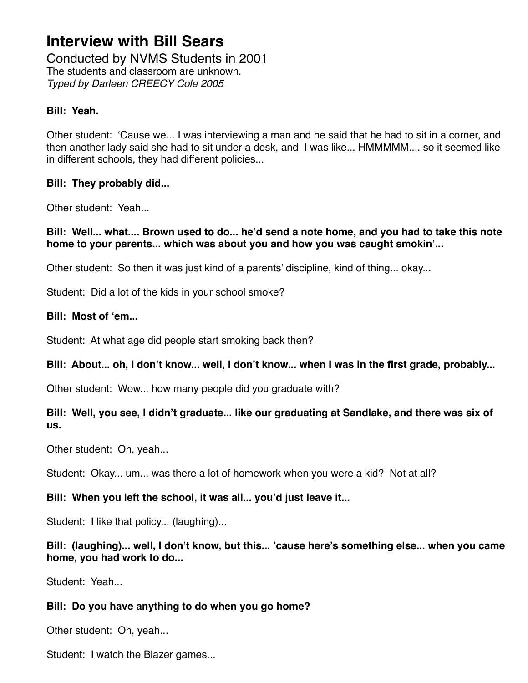Conducted by NVMS Students in 2001 The students and classroom are unknown. *Typed by Darleen CREECY Cole 2005*

## **Bill: Yeah.**

Other student: 'Cause we... I was interviewing a man and he said that he had to sit in a corner, and then another lady said she had to sit under a desk, and I was like... HMMMMM.... so it seemed like in different schools, they had different policies...

### **Bill: They probably did...**

Other student: Yeah...

**Bill: Well... what.... Brown used to do... he'd send a note home, and you had to take this note home to your parents... which was about you and how you was caught smokin'...**

Other student: So then it was just kind of a parents' discipline, kind of thing... okay...

Student: Did a lot of the kids in your school smoke?

### **Bill: Most of 'em...**

Student: At what age did people start smoking back then?

### **Bill: About... oh, I don't know... well, I don't know... when I was in the first grade, probably...**

Other student: Wow... how many people did you graduate with?

# **Bill: Well, you see, I didn't graduate... like our graduating at Sandlake, and there was six of us.**

Other student: Oh, yeah...

Student: Okay... um... was there a lot of homework when you were a kid? Not at all?

# **Bill: When you left the school, it was all... you'd just leave it...**

Student: I like that policy... (laughing)...

## **Bill: (laughing)... well, I don't know, but this... 'cause here's something else... when you came home, you had work to do...**

Student: Yeah...

# **Bill: Do you have anything to do when you go home?**

Other student: Oh, yeah...

Student: I watch the Blazer games...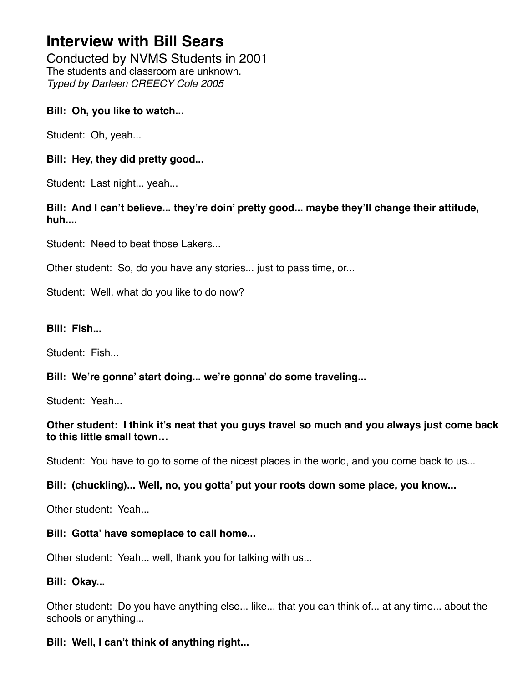Conducted by NVMS Students in 2001 The students and classroom are unknown. *Typed by Darleen CREECY Cole 2005*

## **Bill: Oh, you like to watch...**

Student: Oh, yeah...

# **Bill: Hey, they did pretty good...**

Student: Last night... yeah...

## **Bill: And I can't believe... they're doin' pretty good... maybe they'll change their attitude, huh....**

Student: Need to beat those Lakers...

Other student: So, do you have any stories... just to pass time, or...

Student: Well, what do you like to do now?

## **Bill: Fish...**

Student: Fish...

# **Bill: We're gonna' start doing... we're gonna' do some traveling...**

Student: Yeah.

## **Other student: I think it's neat that you guys travel so much and you always just come back to this little small town…**

Student: You have to go to some of the nicest places in the world, and you come back to us...

### **Bill: (chuckling)... Well, no, you gotta' put your roots down some place, you know...**

Other student: Yeah.

### **Bill: Gotta' have someplace to call home...**

Other student: Yeah... well, thank you for talking with us...

### **Bill: Okay...**

Other student: Do you have anything else... like... that you can think of... at any time... about the schools or anything...

# **Bill: Well, I can't think of anything right...**